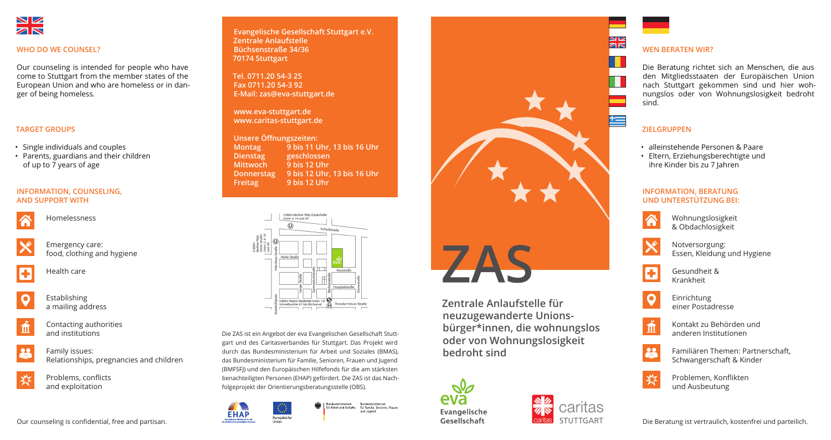**Evangelische Gesellschaft Stuttgart e.V. Zentrale Anlaufstelle Büchsenstraße 34/36 70174 Stuttgart**

**Tel. 0711.20 54-3 25 Fax 0711.20 54-3 92 E-Mail: zas@eva-stuttgart.de**

**www.eva-stuttgart.de www.caritas-stuttgart.de**

| Unsere Öffnungszeiten: |                             |
|------------------------|-----------------------------|
| <b>Montag</b>          | 9 bis 11 Uhr, 13 bis 16 Uhr |
| <b>Dienstag</b>        | geschlossen                 |
| <b>Mittwoch</b>        | 9 bis 12 Uhr                |
| <b>Donnerstag</b>      | 9 bis 12 Uhr, 13 bis 16 Uhr |
| <b>Freitag</b>         | 9 bis 12 Uhr                |



**Zentrale Anlaufstelle für neuzugewanderte Unionsbürger\*innen, die wohnungslos oder von Wohnungslosigkeit bedroht sind**





Œ

童

 $<sup>22</sup>$ </sup>

芬



## **INFORMATION, COUNSELING, AND SUPPORT WITH**



Homelessness



Emergency care: food, clothing and hygiene



Establishing a mailing address



Contacting authorities and institutions

Family issues: Relationships, pregnancies and children

Problems, conflicts

and exploitation



### **WHO DO WE COUNSEL?**

• alleinstehende Personen & Paare • Eltern, Erziehungsberechtigte und ihre Kinder bis zu 7 Jahren

Our counseling is intended for people who have come to Stuttgart from the member states of the European Union and who are homeless or in danger of being homeless.

## **TARGET GROUPS**

- Single individuals and couples
- Parents, guardians and their children of up to 7 years of age

## **INFORMATION, BERATUNG UND UNTERSTÜTZUNG BEI:**

Wohnungslosigkeit & Obdachlosigkeit

Notversorgung: Essen, Kleidung und Hygiene

Gesundheit & Krankheit

Einrichtung einer Postadresse

Kontakt zu Behörden und anderen Institutionen

Familiären Themen: Partnerschaft, Schwangerschaft & Kinder

Problemen, Konflikten und Ausbeutung

## **WEN BERATEN WIR?**

Die Beratung richtet sich an Menschen, die aus den Mitgliedsstaaten der Europäischen Union nach Stuttgart gekommen sind und hier wohnungslos oder von Wohnungslosigkeit bedroht

sind.

# **ZIELGRUPPEN**

Die ZAS ist ein Angebot der eva Evangelischen Gesellschaft Stuttgart und des Caritasverbandes für Stuttgart. Das Projekt wird durch das Bundesministerium für Arbeit und Soziales (BMAS), das Bundesministerium für Familie, Senioren, Frauen und Jugend (BMFSFJ) und den Europäischen Hilfefonds für die am stärksten benachteiligten Personen (EHAP) gefördert. Die ZAS ist das Nachfolgeprojekt der Orientierungsberatungsstelle (OBS).



Bundesministerium Bundesministerium<br>für Arbeit und Soziales für Familie, Senioren, Frauen und Jugend